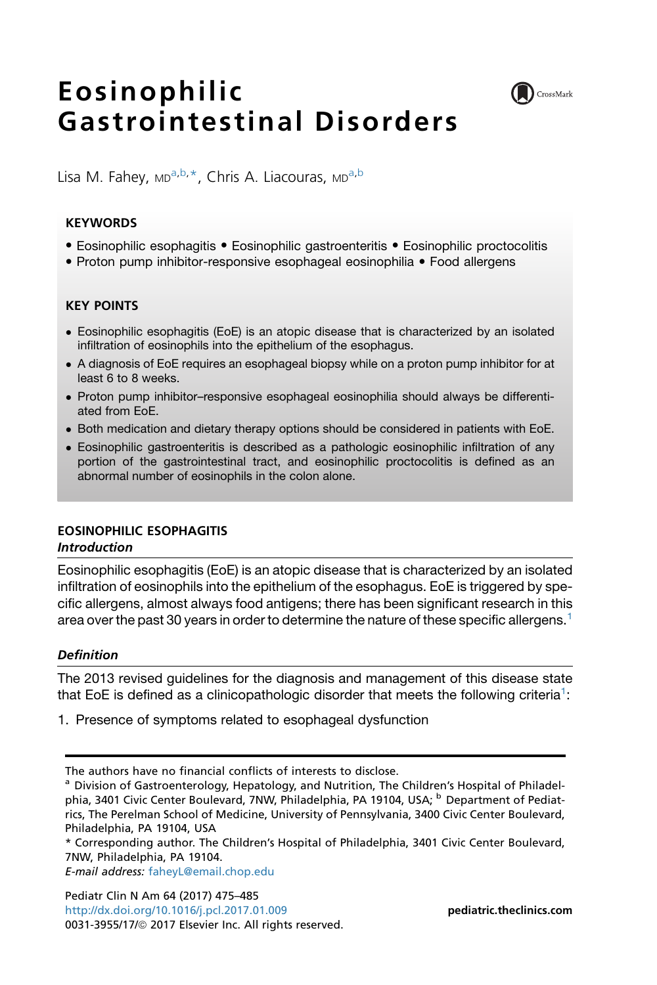# Eosinophilic Gastrointestinal Disorders



Lisa M. Fahey, <sub>MD</sub>a,b,\*, Chris A. Liacouras, <sub>MD</sub>a,b

## **KEYWORDS**

- Eosinophilic esophagitis Eosinophilic gastroenteritis Eosinophilic proctocolitis
- Proton pump inhibitor-responsive esophageal eosinophilia Food allergens

# KEY POINTS

- Eosinophilic esophagitis (EoE) is an atopic disease that is characterized by an isolated infiltration of eosinophils into the epithelium of the esophagus.
- A diagnosis of EoE requires an esophageal biopsy while on a proton pump inhibitor for at least 6 to 8 weeks.
- Proton pump inhibitor–responsive esophageal eosinophilia should always be differentiated from EoE.
- Both medication and dietary therapy options should be considered in patients with EoE.
- Eosinophilic gastroenteritis is described as a pathologic eosinophilic infiltration of any portion of the gastrointestinal tract, and eosinophilic proctocolitis is defined as an abnormal number of eosinophils in the colon alone.

#### EOSINOPHILIC ESOPHAGITIS Introduction

Eosinophilic esophagitis (EoE) is an atopic disease that is characterized by an isolated infiltration of eosinophils into the epithelium of the esophagus. EoE is triggered by specific allergens, almost always food antigens; there has been significant research in this area over the past 30 years in order to determine the nature of these specific allergens.<sup>[1](#page-8-0)</sup>

# Definition

The 2013 revised guidelines for the diagnosis and management of this disease state that EoE is defined as a clinicopathologic disorder that meets the following criteria<sup>[1](#page-8-0)</sup>:

1. Presence of symptoms related to esophageal dysfunction

The authors have no financial conflicts of interests to disclose.

\* Corresponding author. The Children's Hospital of Philadelphia, 3401 Civic Center Boulevard, 7NW, Philadelphia, PA 19104.

E-mail address: [faheyL@email.chop.edu](mailto:faheyL@email.chop.edu)

Pediatr Clin N Am 64 (2017) 475–485 <http://dx.doi.org/10.1016/j.pcl.2017.01.009> **[pediatric.theclinics.com](http://pediatric.theclinics.com)** 0031-3955/17/@ 2017 Elsevier Inc. All rights reserved.

<sup>&</sup>lt;sup>a</sup> Division of Gastroenterology, Hepatology, and Nutrition, The Children's Hospital of Philadelphia, 3401 Civic Center Boulevard, 7NW, Philadelphia, PA 19104, USA; <sup>b</sup> Department of Pediatrics, The Perelman School of Medicine, University of Pennsylvania, 3400 Civic Center Boulevard, Philadelphia, PA 19104, USA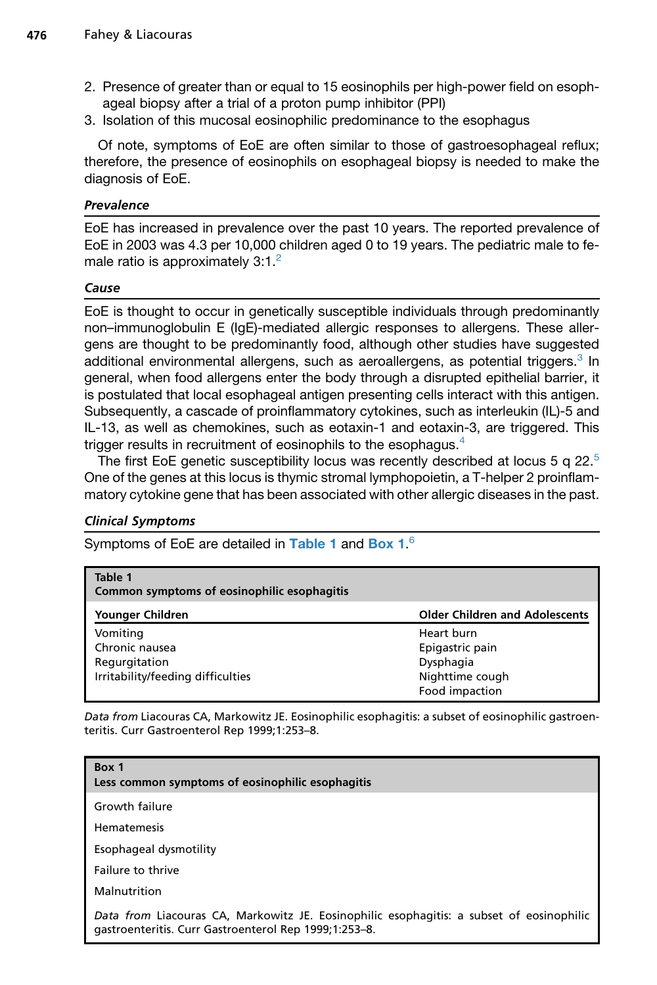- 2. Presence of greater than or equal to 15 eosinophils per high-power field on esophageal biopsy after a trial of a proton pump inhibitor (PPI)
- 3. Isolation of this mucosal eosinophilic predominance to the esophagus

Of note, symptoms of EoE are often similar to those of gastroesophageal reflux; therefore, the presence of eosinophils on esophageal biopsy is needed to make the diagnosis of EoE.

## Prevalence

EoE has increased in prevalence over the past 10 years. The reported prevalence of EoE in 2003 was 4.3 per 10,000 children aged 0 to 19 years. The pediatric male to female ratio is approximately  $3:1.^2$  $3:1.^2$ 

#### Cause

EoE is thought to occur in genetically susceptible individuals through predominantly non–immunoglobulin E (IgE)-mediated allergic responses to allergens. These allergens are thought to be predominantly food, although other studies have suggested additional environmental allergens, such as aeroallergens, as potential triggers. $3 \text{ In}$  $3 \text{ In}$ general, when food allergens enter the body through a disrupted epithelial barrier, it is postulated that local esophageal antigen presenting cells interact with this antigen. Subsequently, a cascade of proinflammatory cytokines, such as interleukin (IL)-5 and IL-13, as well as chemokines, such as eotaxin-1 and eotaxin-3, are triggered. This trigger results in recruitment of eosinophils to the esophagus.<sup>[4](#page-8-0)</sup>

The first EoE genetic susceptibility locus was recently described at locus [5](#page-8-0) q 22.<sup>5</sup> One of the genes at this locus is thymic stromal lymphopoietin, a T-helper 2 proinflammatory cytokine gene that has been associated with other allergic diseases in the past.

#### Clinical Symptoms

Symptoms of EoE are detailed in Table 1 and Box 1.<sup>[6](#page-8-0)</sup>

| Table 1<br>Common symptoms of eosinophilic esophagitis |                                       |
|--------------------------------------------------------|---------------------------------------|
| Younger Children                                       | <b>Older Children and Adolescents</b> |
| Vomiting                                               | Heart burn                            |
| Chronic nausea                                         | Epigastric pain                       |
| Regurgitation                                          | Dysphagia                             |
| Irritability/feeding difficulties                      | Nighttime cough                       |
|                                                        | Food impaction                        |

Data from Liacouras CA, Markowitz JE. Eosinophilic esophagitis: a subset of eosinophilic gastroenteritis. Curr Gastroenterol Rep 1999;1:253–8.

| Box 1<br>Less common symptoms of eosinophilic esophagitis                                                                                         |
|---------------------------------------------------------------------------------------------------------------------------------------------------|
| Growth failure                                                                                                                                    |
| <b>Hematemesis</b>                                                                                                                                |
| Esophageal dysmotility                                                                                                                            |
| Failure to thrive                                                                                                                                 |
| Malnutrition                                                                                                                                      |
| Data from Liacouras CA, Markowitz JE. Eosinophilic esophagitis: a subset of eosinophilic<br>gastroenteritis. Curr Gastroenterol Rep 1999;1:253-8. |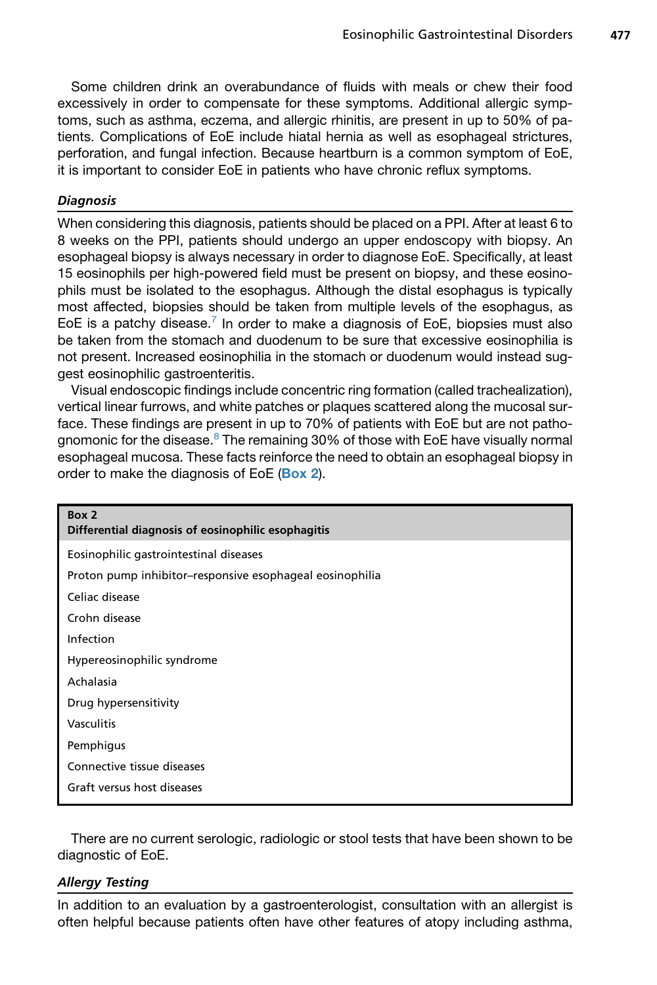Some children drink an overabundance of fluids with meals or chew their food excessively in order to compensate for these symptoms. Additional allergic symptoms, such as asthma, eczema, and allergic rhinitis, are present in up to 50% of patients. Complications of EoE include hiatal hernia as well as esophageal strictures, perforation, and fungal infection. Because heartburn is a common symptom of EoE, it is important to consider EoE in patients who have chronic reflux symptoms.

## **Diagnosis**

When considering this diagnosis, patients should be placed on a PPI. After at least 6 to 8 weeks on the PPI, patients should undergo an upper endoscopy with biopsy. An esophageal biopsy is always necessary in order to diagnose EoE. Specifically, at least 15 eosinophils per high-powered field must be present on biopsy, and these eosinophils must be isolated to the esophagus. Although the distal esophagus is typically most affected, biopsies should be taken from multiple levels of the esophagus, as EoE is a patchy disease.<sup>[7](#page-8-0)</sup> In order to make a diagnosis of EoE, biopsies must also be taken from the stomach and duodenum to be sure that excessive eosinophilia is not present. Increased eosinophilia in the stomach or duodenum would instead suggest eosinophilic gastroenteritis.

Visual endoscopic findings include concentric ring formation (called trachealization), vertical linear furrows, and white patches or plaques scattered along the mucosal surface. These findings are present in up to 70% of patients with EoE but are not pathognomonic for the disease. $8$  The remaining 30% of those with EoE have visually normal esophageal mucosa. These facts reinforce the need to obtain an esophageal biopsy in order to make the diagnosis of EoE (Box 2).

| Box 2<br>Differential diagnosis of eosinophilic esophagitis |
|-------------------------------------------------------------|
| Eosinophilic gastrointestinal diseases                      |
| Proton pump inhibitor-responsive esophageal eosinophilia    |
| Celiac disease                                              |
| Crohn disease                                               |
| Infection                                                   |
| Hypereosinophilic syndrome                                  |
| Achalasia                                                   |
| Drug hypersensitivity                                       |
| Vasculitis                                                  |
| Pemphigus                                                   |
| Connective tissue diseases                                  |
| Graft versus host diseases                                  |
|                                                             |

There are no current serologic, radiologic or stool tests that have been shown to be diagnostic of EoE.

## Allergy Testing

In addition to an evaluation by a gastroenterologist, consultation with an allergist is often helpful because patients often have other features of atopy including asthma,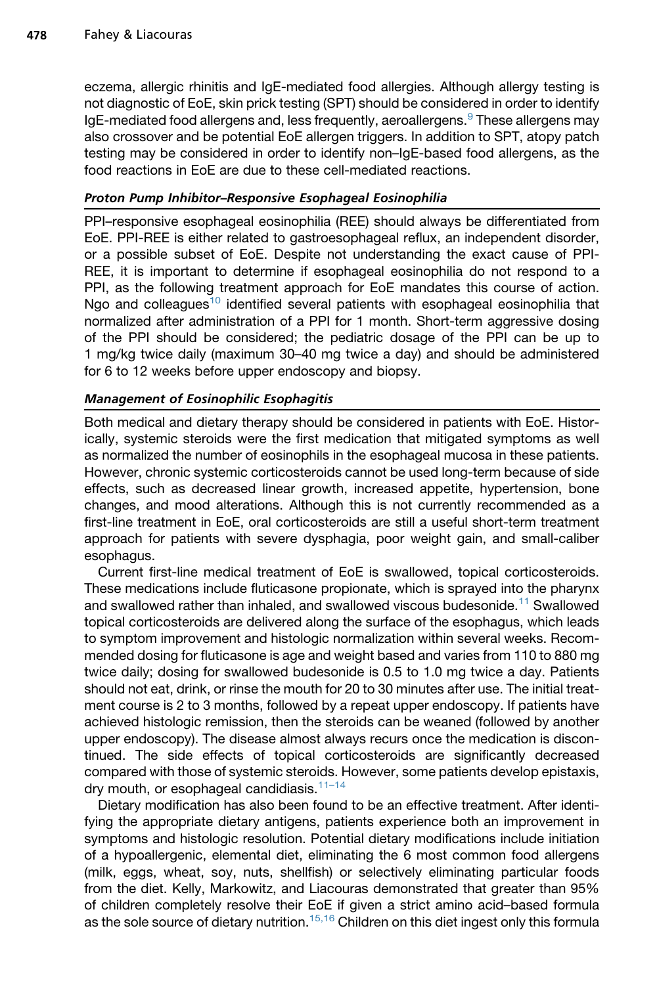eczema, allergic rhinitis and IgE-mediated food allergies. Although allergy testing is not diagnostic of EoE, skin prick testing (SPT) should be considered in order to identify  $I$ gE-mediated food allergens and, less frequently, aeroallergens. $9$ These allergens may also crossover and be potential EoE allergen triggers. In addition to SPT, atopy patch testing may be considered in order to identify non–IgE-based food allergens, as the food reactions in EoE are due to these cell-mediated reactions.

## Proton Pump Inhibitor–Responsive Esophageal Eosinophilia

PPI–responsive esophageal eosinophilia (REE) should always be differentiated from EoE. PPI-REE is either related to gastroesophageal reflux, an independent disorder, or a possible subset of EoE. Despite not understanding the exact cause of PPI-REE, it is important to determine if esophageal eosinophilia do not respond to a PPI, as the following treatment approach for EoE mandates this course of action. Ngo and colleagues<sup>[10](#page-9-0)</sup> identified several patients with esophageal eosinophilia that normalized after administration of a PPI for 1 month. Short-term aggressive dosing of the PPI should be considered; the pediatric dosage of the PPI can be up to 1 mg/kg twice daily (maximum 30–40 mg twice a day) and should be administered for 6 to 12 weeks before upper endoscopy and biopsy.

# Management of Eosinophilic Esophagitis

Both medical and dietary therapy should be considered in patients with EoE. Historically, systemic steroids were the first medication that mitigated symptoms as well as normalized the number of eosinophils in the esophageal mucosa in these patients. However, chronic systemic corticosteroids cannot be used long-term because of side effects, such as decreased linear growth, increased appetite, hypertension, bone changes, and mood alterations. Although this is not currently recommended as a first-line treatment in EoE, oral corticosteroids are still a useful short-term treatment approach for patients with severe dysphagia, poor weight gain, and small-caliber esophagus.

Current first-line medical treatment of EoE is swallowed, topical corticosteroids. These medications include fluticasone propionate, which is sprayed into the pharynx and swallowed rather than inhaled, and swallowed viscous budesonide.[11](#page-9-0) Swallowed topical corticosteroids are delivered along the surface of the esophagus, which leads to symptom improvement and histologic normalization within several weeks. Recommended dosing for fluticasone is age and weight based and varies from 110 to 880 mg twice daily; dosing for swallowed budesonide is 0.5 to 1.0 mg twice a day. Patients should not eat, drink, or rinse the mouth for 20 to 30 minutes after use. The initial treatment course is 2 to 3 months, followed by a repeat upper endoscopy. If patients have achieved histologic remission, then the steroids can be weaned (followed by another upper endoscopy). The disease almost always recurs once the medication is discontinued. The side effects of topical corticosteroids are significantly decreased compared with those of systemic steroids. However, some patients develop epistaxis, dry mouth, or esophageal candidiasis.<sup>11-14</sup>

Dietary modification has also been found to be an effective treatment. After identifying the appropriate dietary antigens, patients experience both an improvement in symptoms and histologic resolution. Potential dietary modifications include initiation of a hypoallergenic, elemental diet, eliminating the 6 most common food allergens (milk, eggs, wheat, soy, nuts, shellfish) or selectively eliminating particular foods from the diet. Kelly, Markowitz, and Liacouras demonstrated that greater than 95% of children completely resolve their EoE if given a strict amino acid–based formula as the sole source of dietary nutrition.<sup>[15,16](#page-9-0)</sup> Children on this diet ingest only this formula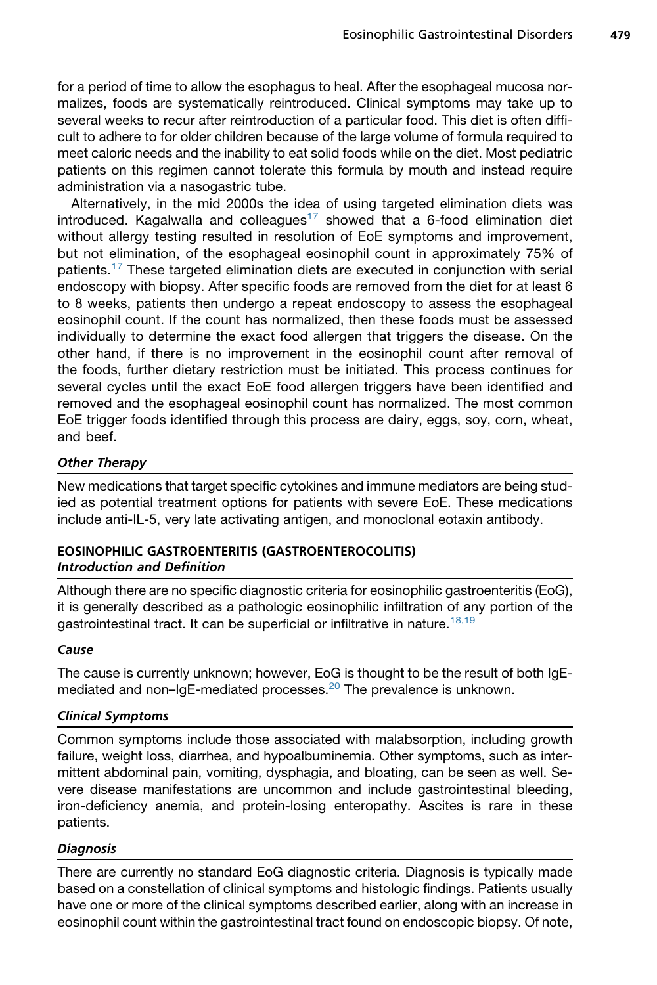for a period of time to allow the esophagus to heal. After the esophageal mucosa normalizes, foods are systematically reintroduced. Clinical symptoms may take up to several weeks to recur after reintroduction of a particular food. This diet is often difficult to adhere to for older children because of the large volume of formula required to meet caloric needs and the inability to eat solid foods while on the diet. Most pediatric patients on this regimen cannot tolerate this formula by mouth and instead require administration via a nasogastric tube.

Alternatively, in the mid 2000s the idea of using targeted elimination diets was introduced. Kagalwalla and colleagues<sup>[17](#page-9-0)</sup> showed that a 6-food elimination diet without allergy testing resulted in resolution of EoE symptoms and improvement, but not elimination, of the esophageal eosinophil count in approximately 75% of patients.[17](#page-9-0) These targeted elimination diets are executed in conjunction with serial endoscopy with biopsy. After specific foods are removed from the diet for at least 6 to 8 weeks, patients then undergo a repeat endoscopy to assess the esophageal eosinophil count. If the count has normalized, then these foods must be assessed individually to determine the exact food allergen that triggers the disease. On the other hand, if there is no improvement in the eosinophil count after removal of the foods, further dietary restriction must be initiated. This process continues for several cycles until the exact EoE food allergen triggers have been identified and removed and the esophageal eosinophil count has normalized. The most common EoE trigger foods identified through this process are dairy, eggs, soy, corn, wheat, and beef.

#### Other Therapy

New medications that target specific cytokines and immune mediators are being studied as potential treatment options for patients with severe EoE. These medications include anti-IL-5, very late activating antigen, and monoclonal eotaxin antibody.

#### EOSINOPHILIC GASTROENTERITIS (GASTROENTEROCOLITIS) Introduction and Definition

Although there are no specific diagnostic criteria for eosinophilic gastroenteritis (EoG), it is generally described as a pathologic eosinophilic infiltration of any portion of the gastrointestinal tract. It can be superficial or infiltrative in nature.<sup>[18,19](#page-9-0)</sup>

#### Cause

The cause is currently unknown; however, EoG is thought to be the result of both IgEmediated and non–IgE-mediated processes.<sup>20</sup> The prevalence is unknown.

## Clinical Symptoms

Common symptoms include those associated with malabsorption, including growth failure, weight loss, diarrhea, and hypoalbuminemia. Other symptoms, such as intermittent abdominal pain, vomiting, dysphagia, and bloating, can be seen as well. Severe disease manifestations are uncommon and include gastrointestinal bleeding, iron-deficiency anemia, and protein-losing enteropathy. Ascites is rare in these patients.

## **Diagnosis**

There are currently no standard EoG diagnostic criteria. Diagnosis is typically made based on a constellation of clinical symptoms and histologic findings. Patients usually have one or more of the clinical symptoms described earlier, along with an increase in eosinophil count within the gastrointestinal tract found on endoscopic biopsy. Of note,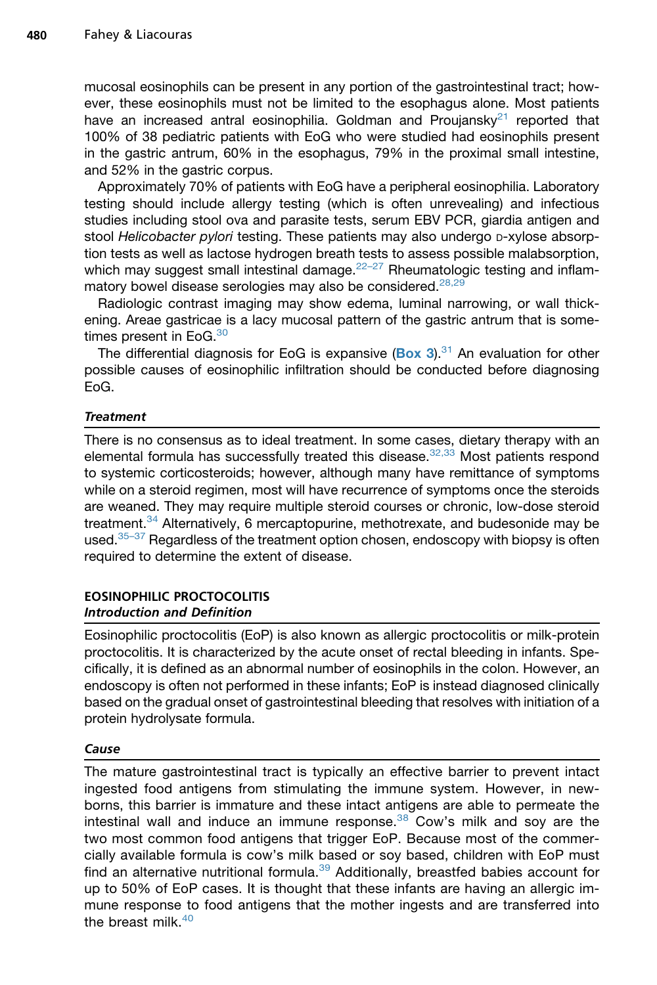mucosal eosinophils can be present in any portion of the gastrointestinal tract; however, these eosinophils must not be limited to the esophagus alone. Most patients have an increased antral eosinophilia. Goldman and Proujansky<sup>[21](#page-9-0)</sup> reported that 100% of 38 pediatric patients with EoG who were studied had eosinophils present in the gastric antrum, 60% in the esophagus, 79% in the proximal small intestine, and 52% in the gastric corpus.

Approximately 70% of patients with EoG have a peripheral eosinophilia. Laboratory testing should include allergy testing (which is often unrevealing) and infectious studies including stool ova and parasite tests, serum EBV PCR, giardia antigen and stool *Helicobacter pylori* testing. These patients may also undergo *D-xylose* absorption tests as well as lactose hydrogen breath tests to assess possible malabsorption, which may suggest small intestinal damage.<sup>[22–27](#page-9-0)</sup> Rheumatologic testing and inflam-matory bowel disease serologies may also be considered.<sup>[28,29](#page-9-0)</sup>

Radiologic contrast imaging may show edema, luminal narrowing, or wall thickening. Areae gastricae is a lacy mucosal pattern of the gastric antrum that is sometimes present in EoG.<sup>30</sup>

The differential diagnosis for EoG is expansive  $(Box 3)$  $(Box 3)$  $(Box 3)$ .<sup>[31](#page-10-0)</sup> An evaluation for other possible causes of eosinophilic infiltration should be conducted before diagnosing EoG.

#### **Treatment**

There is no consensus as to ideal treatment. In some cases, dietary therapy with an elemental formula has successfully treated this disease.<sup>[32,33](#page-10-0)</sup> Most patients respond to systemic corticosteroids; however, although many have remittance of symptoms while on a steroid regimen, most will have recurrence of symptoms once the steroids are weaned. They may require multiple steroid courses or chronic, low-dose steroid treatment.[34](#page-10-0) Alternatively, 6 mercaptopurine, methotrexate, and budesonide may be used.<sup>35-37</sup> Regardless of the treatment option chosen, endoscopy with biopsy is often required to determine the extent of disease.

## EOSINOPHILIC PROCTOCOLITIS Introduction and Definition

Eosinophilic proctocolitis (EoP) is also known as allergic proctocolitis or milk-protein proctocolitis. It is characterized by the acute onset of rectal bleeding in infants. Specifically, it is defined as an abnormal number of eosinophils in the colon. However, an endoscopy is often not performed in these infants; EoP is instead diagnosed clinically based on the gradual onset of gastrointestinal bleeding that resolves with initiation of a protein hydrolysate formula.

#### Cause

The mature gastrointestinal tract is typically an effective barrier to prevent intact ingested food antigens from stimulating the immune system. However, in newborns, this barrier is immature and these intact antigens are able to permeate the intestinal wall and induce an immune response. $38$  Cow's milk and soy are the two most common food antigens that trigger EoP. Because most of the commercially available formula is cow's milk based or soy based, children with EoP must find an alternative nutritional formula. $39$  Additionally, breastfed babies account for up to 50% of EoP cases. It is thought that these infants are having an allergic immune response to food antigens that the mother ingests and are transferred into the breast milk. $40$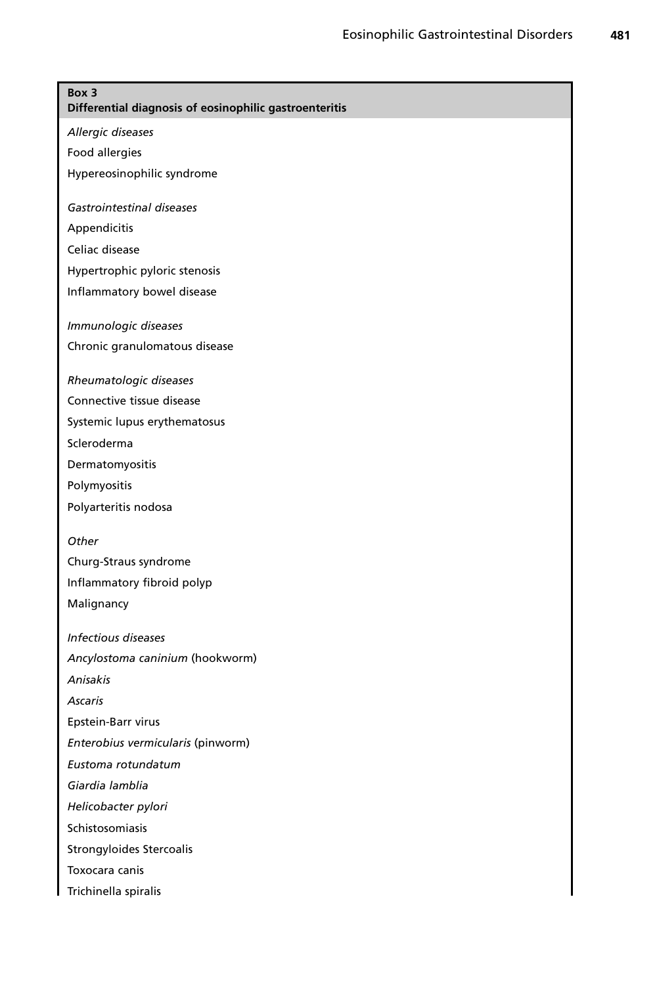<span id="page-6-0"></span>

| Box 3<br>Differential diagnosis of eosinophilic gastroenteritis |
|-----------------------------------------------------------------|
| Allergic diseases                                               |
| Food allergies                                                  |
| Hypereosinophilic syndrome                                      |
| Gastrointestinal diseases                                       |
| Appendicitis                                                    |
| Celiac disease                                                  |
| Hypertrophic pyloric stenosis                                   |
| Inflammatory bowel disease                                      |
| Immunologic diseases                                            |
| Chronic granulomatous disease                                   |
| Rheumatologic diseases                                          |
| Connective tissue disease                                       |
| Systemic lupus erythematosus                                    |
| Scleroderma                                                     |
| Dermatomyositis                                                 |
| Polymyositis                                                    |
| Polyarteritis nodosa                                            |
| Other                                                           |
| Churg-Straus syndrome                                           |
| Inflammatory fibroid polyp                                      |
| Malignancy                                                      |
| Infectious diseases                                             |
| Ancylostoma caninium (hookworm)                                 |
| Anisakis                                                        |
| Ascaris                                                         |
| Epstein-Barr virus                                              |
| Enterobius vermicularis (pinworm)                               |
| Eustoma rotundatum                                              |
| Giardia lamblia                                                 |
| Helicobacter pylori                                             |
| Schistosomiasis                                                 |
| Strongyloides Stercoalis                                        |
| Toxocara canis                                                  |
| Trichinella spiralis                                            |
|                                                                 |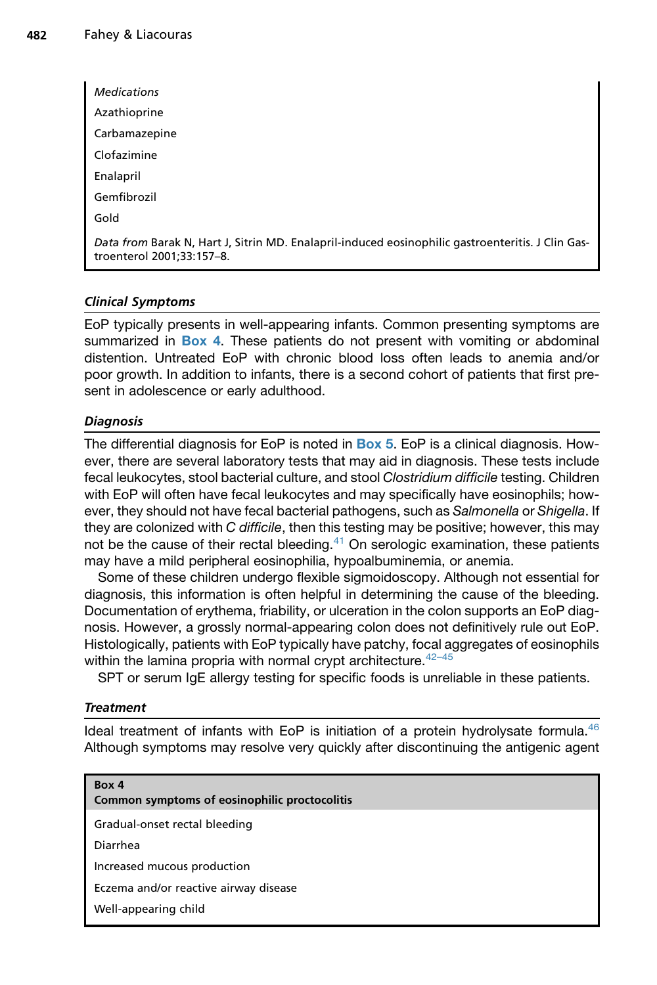**Medications** Azathioprine Carbamazepine Clofazimine Enalapril Gemfibrozil Gold Data from Barak N, Hart J, Sitrin MD. Enalapril-induced eosinophilic gastroenteritis. J Clin Gastroenterol 2001;33:157–8.

# Clinical Symptoms

EoP typically presents in well-appearing infants. Common presenting symptoms are summarized in **Box 4.** These patients do not present with vomiting or abdominal distention. Untreated EoP with chronic blood loss often leads to anemia and/or poor growth. In addition to infants, there is a second cohort of patients that first present in adolescence or early adulthood.

## **Diagnosis**

The differential diagnosis for EoP is noted in **[Box 5](#page-8-0).** EoP is a clinical diagnosis. However, there are several laboratory tests that may aid in diagnosis. These tests include fecal leukocytes, stool bacterial culture, and stool *Clostridium difficile* testing. Children with EoP will often have fecal leukocytes and may specifically have eosinophils; however, they should not have fecal bacterial pathogens, such as *Salmonella* or *Shigella*. If they are colonized with *C difficile*, then this testing may be positive; however, this may not be the cause of their rectal bleeding.<sup>[41](#page-10-0)</sup> On serologic examination, these patients may have a mild peripheral eosinophilia, hypoalbuminemia, or anemia.

Some of these children undergo flexible sigmoidoscopy. Although not essential for diagnosis, this information is often helpful in determining the cause of the bleeding. Documentation of erythema, friability, or ulceration in the colon supports an EoP diagnosis. However, a grossly normal-appearing colon does not definitively rule out EoP. Histologically, patients with EoP typically have patchy, focal aggregates of eosinophils within the lamina propria with normal crypt architecture.<sup>42-45</sup>

SPT or serum IgE allergy testing for specific foods is unreliable in these patients.

## **Treatment**

Ideal treatment of infants with EoP is initiation of a protein hydrolysate formula. $46$ Although symptoms may resolve very quickly after discontinuing the antigenic agent

| Box 4<br>Common symptoms of eosinophilic proctocolitis |
|--------------------------------------------------------|
| Gradual-onset rectal bleeding                          |
| Diarrhea                                               |
| Increased mucous production                            |
| Eczema and/or reactive airway disease                  |
| Well-appearing child                                   |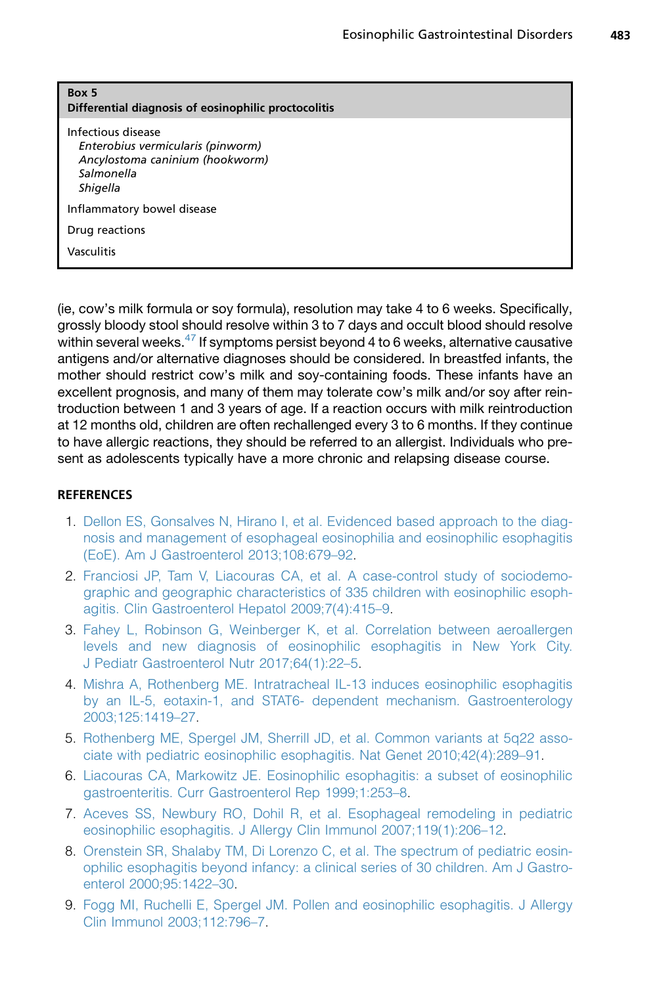#### <span id="page-8-0"></span>Box 5 Differential diagnosis of eosinophilic proctocolitis

Infectious disease Enterobius vermicularis (pinworm) Ancylostoma caninium (hookworm) Salmonella **Shigella** Inflammatory bowel disease

Drug reactions

Vasculitis

(ie, cow's milk formula or soy formula), resolution may take 4 to 6 weeks. Specifically, grossly bloody stool should resolve within 3 to 7 days and occult blood should resolve within several weeks. $47$  If symptoms persist beyond 4 to 6 weeks, alternative causative antigens and/or alternative diagnoses should be considered. In breastfed infants, the mother should restrict cow's milk and soy-containing foods. These infants have an excellent prognosis, and many of them may tolerate cow's milk and/or soy after reintroduction between 1 and 3 years of age. If a reaction occurs with milk reintroduction at 12 months old, children are often rechallenged every 3 to 6 months. If they continue to have allergic reactions, they should be referred to an allergist. Individuals who present as adolescents typically have a more chronic and relapsing disease course.

#### **REFERENCES**

- 1. [Dellon ES, Gonsalves N, Hirano I, et al. Evidenced based approach to the diag](http://refhub.elsevier.com/S0031-3955(17)30009-3/sref1)[nosis and management of esophageal eosinophilia and eosinophilic esophagitis](http://refhub.elsevier.com/S0031-3955(17)30009-3/sref1) [\(EoE\). Am J Gastroenterol 2013;108:679–92.](http://refhub.elsevier.com/S0031-3955(17)30009-3/sref1)
- 2. [Franciosi JP, Tam V, Liacouras CA, et al. A case-control study of sociodemo](http://refhub.elsevier.com/S0031-3955(17)30009-3/sref2)[graphic and geographic characteristics of 335 children with eosinophilic esoph](http://refhub.elsevier.com/S0031-3955(17)30009-3/sref2)[agitis. Clin Gastroenterol Hepatol 2009;7\(4\):415–9](http://refhub.elsevier.com/S0031-3955(17)30009-3/sref2).
- 3. [Fahey L, Robinson G, Weinberger K, et al. Correlation between aeroallergen](http://refhub.elsevier.com/S0031-3955(17)30009-3/sref3) [levels and new diagnosis of eosinophilic esophagitis in New York City.](http://refhub.elsevier.com/S0031-3955(17)30009-3/sref3) [J Pediatr Gastroenterol Nutr 2017;64\(1\):22–5](http://refhub.elsevier.com/S0031-3955(17)30009-3/sref3).
- 4. [Mishra A, Rothenberg ME. Intratracheal IL-13 induces eosinophilic esophagitis](http://refhub.elsevier.com/S0031-3955(17)30009-3/sref4) [by an IL-5, eotaxin-1, and STAT6- dependent mechanism. Gastroenterology](http://refhub.elsevier.com/S0031-3955(17)30009-3/sref4) [2003;125:1419–27.](http://refhub.elsevier.com/S0031-3955(17)30009-3/sref4)
- 5. [Rothenberg ME, Spergel JM, Sherrill JD, et al. Common variants at 5q22 asso](http://refhub.elsevier.com/S0031-3955(17)30009-3/sref5)[ciate with pediatric eosinophilic esophagitis. Nat Genet 2010;42\(4\):289–91.](http://refhub.elsevier.com/S0031-3955(17)30009-3/sref5)
- 6. [Liacouras CA, Markowitz JE. Eosinophilic esophagitis: a subset of eosinophilic](http://refhub.elsevier.com/S0031-3955(17)30009-3/sref6) [gastroenteritis. Curr Gastroenterol Rep 1999;1:253–8.](http://refhub.elsevier.com/S0031-3955(17)30009-3/sref6)
- 7. [Aceves SS, Newbury RO, Dohil R, et al. Esophageal remodeling in pediatric](http://refhub.elsevier.com/S0031-3955(17)30009-3/sref7) [eosinophilic esophagitis. J Allergy Clin Immunol 2007;119\(1\):206–12.](http://refhub.elsevier.com/S0031-3955(17)30009-3/sref7)
- 8. [Orenstein SR, Shalaby TM, Di Lorenzo C, et al. The spectrum of pediatric eosin](http://refhub.elsevier.com/S0031-3955(17)30009-3/sref8)[ophilic esophagitis beyond infancy: a clinical series of 30 children. Am J Gastro](http://refhub.elsevier.com/S0031-3955(17)30009-3/sref8)[enterol 2000;95:1422–30.](http://refhub.elsevier.com/S0031-3955(17)30009-3/sref8)
- 9. [Fogg MI, Ruchelli E, Spergel JM. Pollen and eosinophilic esophagitis. J Allergy](http://refhub.elsevier.com/S0031-3955(17)30009-3/sref9) [Clin Immunol 2003;112:796–7](http://refhub.elsevier.com/S0031-3955(17)30009-3/sref9).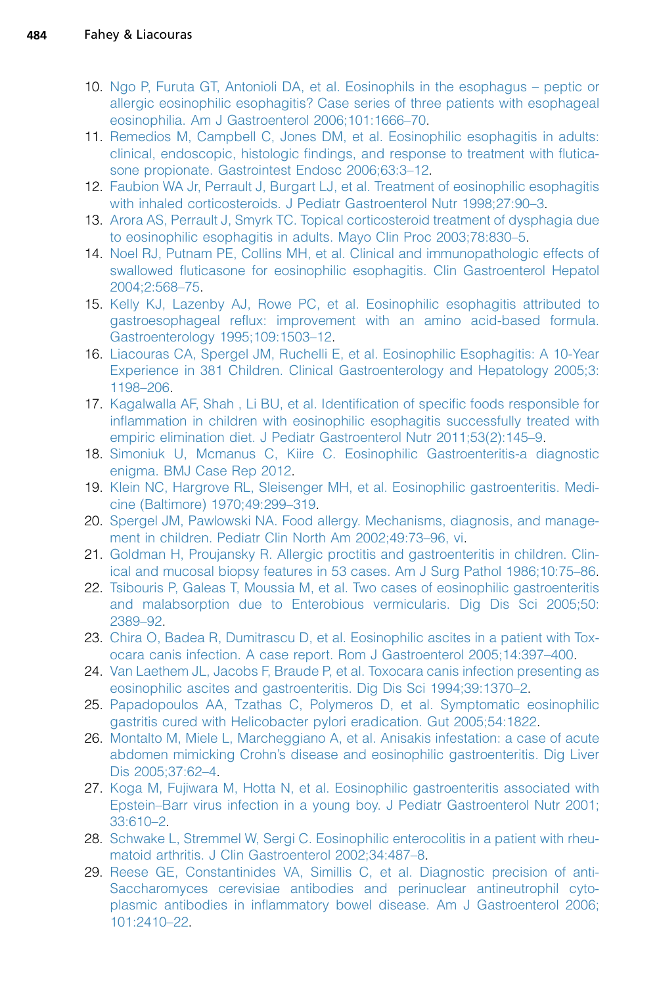- <span id="page-9-0"></span>10. [Ngo P, Furuta GT, Antonioli DA, et al. Eosinophils in the esophagus – peptic or](http://refhub.elsevier.com/S0031-3955(17)30009-3/sref10) [allergic eosinophilic esophagitis? Case series of three patients with esophageal](http://refhub.elsevier.com/S0031-3955(17)30009-3/sref10) [eosinophilia. Am J Gastroenterol 2006;101:1666–70](http://refhub.elsevier.com/S0031-3955(17)30009-3/sref10).
- 11. [Remedios M, Campbell C, Jones DM, et al. Eosinophilic esophagitis in adults:](http://refhub.elsevier.com/S0031-3955(17)30009-3/sref11) [clinical, endoscopic, histologic findings, and response to treatment with flutica](http://refhub.elsevier.com/S0031-3955(17)30009-3/sref11)[sone propionate. Gastrointest Endosc 2006;63:3–12.](http://refhub.elsevier.com/S0031-3955(17)30009-3/sref11)
- 12. [Faubion WA Jr, Perrault J, Burgart LJ, et al. Treatment of eosinophilic esophagitis](http://refhub.elsevier.com/S0031-3955(17)30009-3/sref12) [with inhaled corticosteroids. J Pediatr Gastroenterol Nutr 1998;27:90–3.](http://refhub.elsevier.com/S0031-3955(17)30009-3/sref12)
- 13. [Arora AS, Perrault J, Smyrk TC. Topical corticosteroid treatment of dysphagia due](http://refhub.elsevier.com/S0031-3955(17)30009-3/sref13) [to eosinophilic esophagitis in adults. Mayo Clin Proc 2003;78:830–5.](http://refhub.elsevier.com/S0031-3955(17)30009-3/sref13)
- 14. [Noel RJ, Putnam PE, Collins MH, et al. Clinical and immunopathologic effects of](http://refhub.elsevier.com/S0031-3955(17)30009-3/sref14) [swallowed fluticasone for eosinophilic esophagitis. Clin Gastroenterol Hepatol](http://refhub.elsevier.com/S0031-3955(17)30009-3/sref14) [2004;2:568–75](http://refhub.elsevier.com/S0031-3955(17)30009-3/sref14).
- 15. [Kelly KJ, Lazenby AJ, Rowe PC, et al. Eosinophilic esophagitis attributed to](http://refhub.elsevier.com/S0031-3955(17)30009-3/sref15) [gastroesophageal reflux: improvement with an amino acid-based formula.](http://refhub.elsevier.com/S0031-3955(17)30009-3/sref15) [Gastroenterology 1995;109:1503–12](http://refhub.elsevier.com/S0031-3955(17)30009-3/sref15).
- 16. [Liacouras CA, Spergel JM, Ruchelli E, et al. Eosinophilic Esophagitis: A 10-Year](http://refhub.elsevier.com/S0031-3955(17)30009-3/sref47) [Experience in 381 Children. Clinical Gastroenterology and Hepatology 2005;3:](http://refhub.elsevier.com/S0031-3955(17)30009-3/sref47) [1198–206](http://refhub.elsevier.com/S0031-3955(17)30009-3/sref47).
- 17. [Kagalwalla AF, Shah , Li BU, et al. Identification of specific foods responsible for](http://refhub.elsevier.com/S0031-3955(17)30009-3/sref50) [inflammation in children with eosinophilic esophagitis successfully treated with](http://refhub.elsevier.com/S0031-3955(17)30009-3/sref50) [empiric elimination diet. J Pediatr Gastroenterol Nutr 2011;53\(2\):145–9.](http://refhub.elsevier.com/S0031-3955(17)30009-3/sref50)
- 18. [Simoniuk U, Mcmanus C, Kiire C. Eosinophilic Gastroenteritis-a diagnostic](http://refhub.elsevier.com/S0031-3955(17)30009-3/sref17) [enigma. BMJ Case Rep 2012.](http://refhub.elsevier.com/S0031-3955(17)30009-3/sref17)
- 19. [Klein NC, Hargrove RL, Sleisenger MH, et al. Eosinophilic gastroenteritis. Medi](http://refhub.elsevier.com/S0031-3955(17)30009-3/sref18)[cine \(Baltimore\) 1970;49:299–319.](http://refhub.elsevier.com/S0031-3955(17)30009-3/sref18)
- 20. [Spergel JM, Pawlowski NA. Food allergy. Mechanisms, diagnosis, and manage](http://refhub.elsevier.com/S0031-3955(17)30009-3/sref19)[ment in children. Pediatr Clin North Am 2002;49:73–96, vi.](http://refhub.elsevier.com/S0031-3955(17)30009-3/sref19)
- 21. [Goldman H, Proujansky R. Allergic proctitis and gastroenteritis in children. Clin](http://refhub.elsevier.com/S0031-3955(17)30009-3/sref20)[ical and mucosal biopsy features in 53 cases. Am J Surg Pathol 1986;10:75–86.](http://refhub.elsevier.com/S0031-3955(17)30009-3/sref20)
- 22. [Tsibouris P, Galeas T, Moussia M, et al. Two cases of eosinophilic gastroenteritis](http://refhub.elsevier.com/S0031-3955(17)30009-3/sref21) [and malabsorption due to Enterobious vermicularis. Dig Dis Sci 2005;50:](http://refhub.elsevier.com/S0031-3955(17)30009-3/sref21) [2389–92.](http://refhub.elsevier.com/S0031-3955(17)30009-3/sref21)
- 23. [Chira O, Badea R, Dumitrascu D, et al. Eosinophilic ascites in a patient with Tox](http://refhub.elsevier.com/S0031-3955(17)30009-3/sref22)[ocara canis infection. A case report. Rom J Gastroenterol 2005;14:397–400](http://refhub.elsevier.com/S0031-3955(17)30009-3/sref22).
- 24. [Van Laethem JL, Jacobs F, Braude P, et al. Toxocara canis infection presenting as](http://refhub.elsevier.com/S0031-3955(17)30009-3/sref23) [eosinophilic ascites and gastroenteritis. Dig Dis Sci 1994;39:1370–2.](http://refhub.elsevier.com/S0031-3955(17)30009-3/sref23)
- 25. [Papadopoulos AA, Tzathas C, Polymeros D, et al. Symptomatic eosinophilic](http://refhub.elsevier.com/S0031-3955(17)30009-3/sref24) [gastritis cured with Helicobacter pylori eradication. Gut 2005;54:1822.](http://refhub.elsevier.com/S0031-3955(17)30009-3/sref24)
- 26. [Montalto M, Miele L, Marcheggiano A, et al. Anisakis infestation: a case of acute](http://refhub.elsevier.com/S0031-3955(17)30009-3/sref25) [abdomen mimicking Crohn's disease and eosinophilic gastroenteritis. Dig Liver](http://refhub.elsevier.com/S0031-3955(17)30009-3/sref25) [Dis 2005;37:62–4](http://refhub.elsevier.com/S0031-3955(17)30009-3/sref25).
- 27. [Koga M, Fujiwara M, Hotta N, et al. Eosinophilic gastroenteritis associated with](http://refhub.elsevier.com/S0031-3955(17)30009-3/sref26) [Epstein–Barr virus infection in a young boy. J Pediatr Gastroenterol Nutr 2001;](http://refhub.elsevier.com/S0031-3955(17)30009-3/sref26) [33:610–2](http://refhub.elsevier.com/S0031-3955(17)30009-3/sref26).
- 28. [Schwake L, Stremmel W, Sergi C. Eosinophilic enterocolitis in a patient with rheu](http://refhub.elsevier.com/S0031-3955(17)30009-3/sref27)[matoid arthritis. J Clin Gastroenterol 2002;34:487–8](http://refhub.elsevier.com/S0031-3955(17)30009-3/sref27).
- 29. [Reese GE, Constantinides VA, Simillis C, et al. Diagnostic precision of anti-](http://refhub.elsevier.com/S0031-3955(17)30009-3/sref28)[Saccharomyces cerevisiae antibodies and perinuclear antineutrophil cyto](http://refhub.elsevier.com/S0031-3955(17)30009-3/sref28)[plasmic antibodies in inflammatory bowel disease. Am J Gastroenterol 2006;](http://refhub.elsevier.com/S0031-3955(17)30009-3/sref28) [101:2410–22.](http://refhub.elsevier.com/S0031-3955(17)30009-3/sref28)